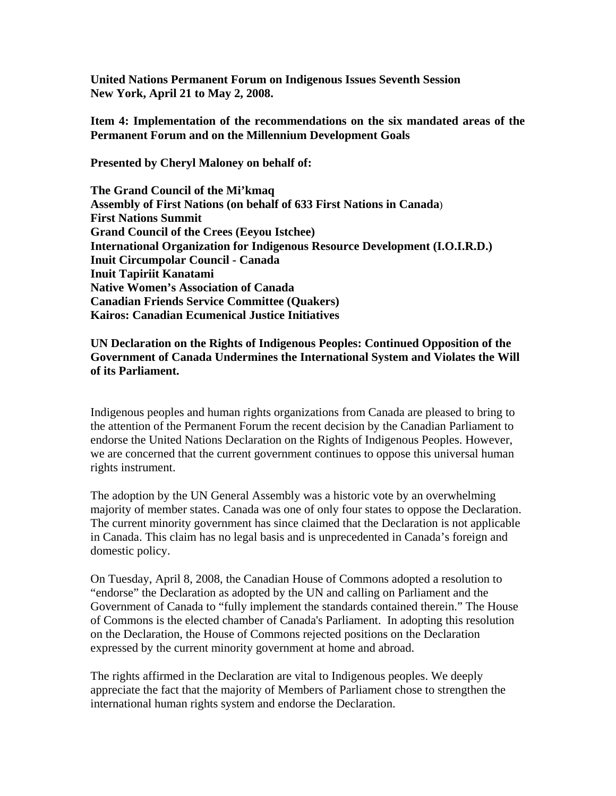**United Nations Permanent Forum on Indigenous Issues Seventh Session New York, April 21 to May 2, 2008.** 

**Item 4: Implementation of the recommendations on the six mandated areas of the Permanent Forum and on the Millennium Development Goals**

**Presented by Cheryl Maloney on behalf of:**

**The Grand Council of the Mi'kmaq Assembly of First Nations (on behalf of 633 First Nations in Canada**) **First Nations Summit Grand Council of the Crees (Eeyou Istchee) International Organization for Indigenous Resource Development (I.O.I.R.D.) Inuit Circumpolar Council - Canada Inuit Tapiriit Kanatami Native Women's Association of Canada Canadian Friends Service Committee (Quakers) Kairos: Canadian Ecumenical Justice Initiatives** 

## **UN Declaration on the Rights of Indigenous Peoples: Continued Opposition of the Government of Canada Undermines the International System and Violates the Will of its Parliament.**

Indigenous peoples and human rights organizations from Canada are pleased to bring to the attention of the Permanent Forum the recent decision by the Canadian Parliament to endorse the United Nations Declaration on the Rights of Indigenous Peoples. However, we are concerned that the current government continues to oppose this universal human rights instrument.

The adoption by the UN General Assembly was a historic vote by an overwhelming majority of member states. Canada was one of only four states to oppose the Declaration. The current minority government has since claimed that the Declaration is not applicable in Canada. This claim has no legal basis and is unprecedented in Canada's foreign and domestic policy.

On Tuesday, April 8, 2008, the Canadian House of Commons adopted a resolution to "endorse" the Declaration as adopted by the UN and calling on Parliament and the Government of Canada to "fully implement the standards contained therein." The House of Commons is the elected chamber of Canada's Parliament. In adopting this resolution on the Declaration, the House of Commons rejected positions on the Declaration expressed by the current minority government at home and abroad.

The rights affirmed in the Declaration are vital to Indigenous peoples. We deeply appreciate the fact that the majority of Members of Parliament chose to strengthen the international human rights system and endorse the Declaration.